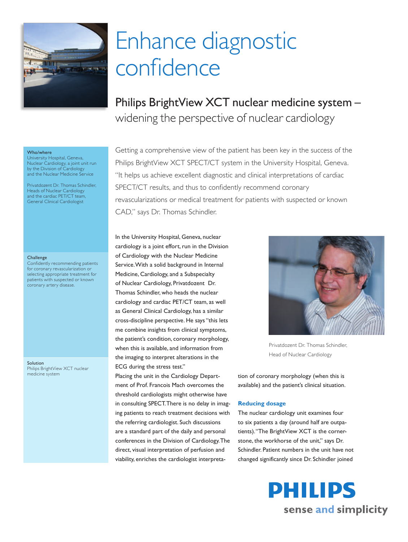

# Enhance diagnostic confidence

Philips BrightView XCT nuclear medicine system – widening the perspective of nuclear cardiology

#### Who/where

University Hospital, Geneva, Nuclear Cardiology, a joint unit run by the Division of Cardiology and the Nuclear Medicine Service

Privatdozent Dr. Thomas Schindler, Heads of Nuclear Cardiology and the cardiac PET/CT team, General Clinical Cardiologist

#### **Challenge**

Confidently recommending patients for coronary revascularization or selecting appropriate treatment for patients with suspected or known coronary artery disease.

Solution Philips BrightView XCT nuclear medicine system

Getting a comprehensive view of the patient has been key in the success of the Philips BrightView XCT SPECT/CT system in the University Hospital, Geneva. "It helps us achieve excellent diagnostic and clinical interpretations of cardiac SPECT/CT results, and thus to confidently recommend coronary revascularizations or medical treatment for patients with suspected or known CAD," says Dr. Thomas Schindler.

In the University Hospital, Geneva, nuclear cardiology is a joint effort, run in the Division of Cardiology with the Nuclear Medicine Service. With a solid background in Internal Medicine, Cardiology, and a Subspecialty of Nuclear Cardiology, Privatdozent Dr. Thomas Schindler, who heads the nuclear cardiology and cardiac PET/CT team, as well as General Clinical Cardiology, has a similar cross-discipline perspective. He says "this lets me combine insights from clinical symptoms, the patient's condition, coronary morphology, when this is available, and information from the imaging to interpret alterations in the ECG during the stress test."

Placing the unit in the Cardiology Department of Prof. Francois Mach overcomes the threshold cardiologists might otherwise have in consulting SPECT. There is no delay in imaging patients to reach treatment decisions with the referring cardiologist. Such discussions are a standard part of the daily and personal conferences in the Division of Cardiology. The direct, visual interpretation of perfusion and viability, enriches the cardiologist interpreta-



Privatdozent Dr. Thomas Schindler, Head of Nuclear Cardiology

tion of coronary morphology (when this is available) and the patient's clinical situation.

#### **Reducing dosage**

The nuclear cardiology unit examines four to six patients a day (around half are outpatients). "The BrightView XCT is the cornerstone, the workhorse of the unit," says Dr. Schindler. Patient numbers in the unit have not changed significantly since Dr. Schindler joined

> **PHILIPS** sense and simplicity